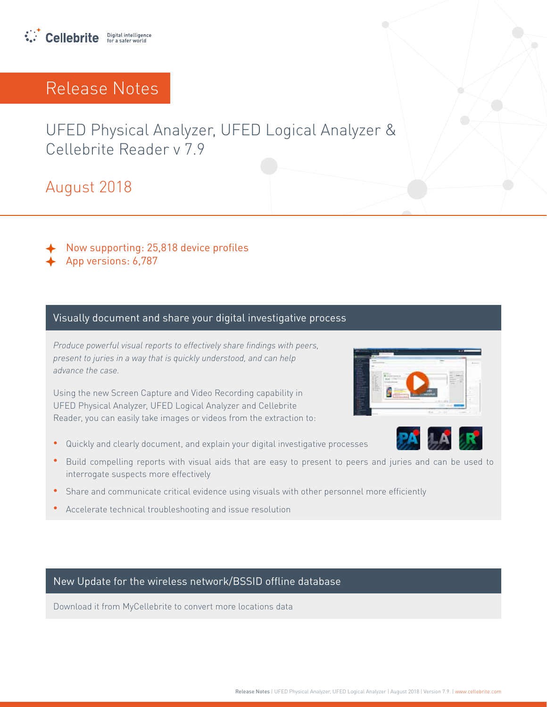

UFED Physical Analyzer, UFED Logical Analyzer & Cellebrite Reader v 7.9

2018 August

Now supporting: 25,818 device profiles

App versions: 6,787

#### Visually document and share your digital investigative process

*Produce powerful visual reports to effectively share findings with peers,* present to juries in a way that is quickly understood, and can help advance the case

Using the new Screen Capture and Video Recording capability in UFED Physical Analyzer, UFED Logical Analyzer and Cellebrite Reader, you can easily take images or videos from the extraction to:

- Quickly and clearly document, and explain your digital investigative processes
- Build compelling reports with visual aids that are easy to present to peers and juries and can be used to interrogate suspects more effectively
- **•** Share and communicate critical evidence using visuals with other personnel more efficiently
- Accelerate technical troubleshooting and issue resolution

New Update for the wireless network/BSSID offline database

Download it from MyCellebrite to convert more locations data



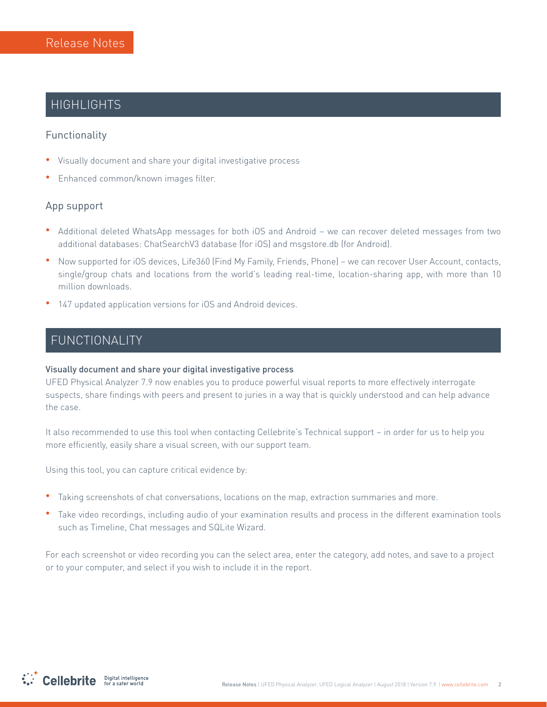## **HIGHLIGHTS**

### Functionality

- **•** Visually document and share your digital investigative process
- **•** Enhanced common/known images filter.

### App support

- Additional deleted WhatsApp messages for both iOS and Android we can recover deleted messages from two additional databases: ChatSearchV3 database (for iOS) and msgstore db (for Android).
- Now supported for iOS devices, Life360 (Find My Family, Friends, Phone) we can recover User Account, contacts, single/group chats and locations from the world's leading real-time, location-sharing app, with more than 10 million downloads.
- 147 updated application versions for iOS and Android devices.

## FUNCTIONALITY

#### Visually document and share your digital investigative process

UFED Physical Analyzer 7.9 now enables you to produce powerful visual reports to more effectively interrogate suspects, share findings with peers and present to juries in a way that is quickly understood and can help advance the case.

It also recommended to use this tool when contacting Cellebrite's Technical support – in order for us to help you more efficiently, easily share a visual screen, with our support team.

Using this tool, you can capture critical evidence by:

- Taking screenshots of chat conversations, locations on the map, extraction summaries and more.
- Take video recordings, including audio of your examination results and process in the different examination tools such as Timeline, Chat messages and SQLite Wizard.

For each screenshot or video recording you can the select area, enter the category, add notes, and save to a project or to your computer, and select if you wish to include it in the report.

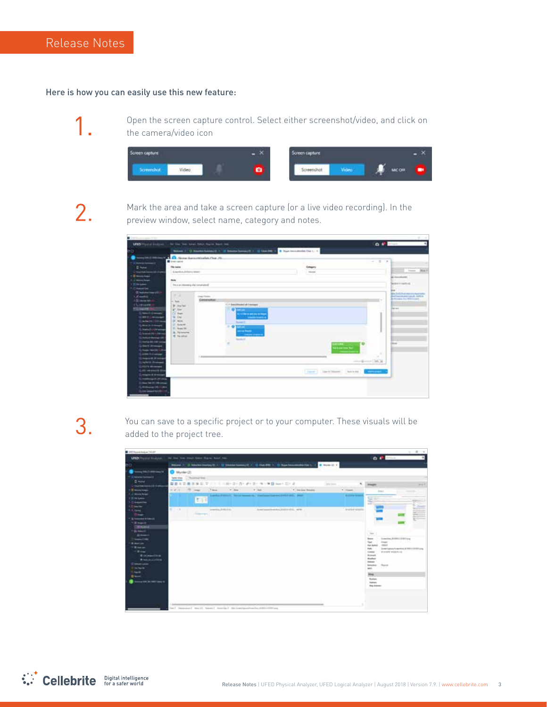#### Here is how you can easily use this new feature:

1

Open the screen capture control. Select either screenshot/video, and click on the camera/video icon



2.

Mark the area and take a screen capture (or a live video recording). In the preview window, select name, category and notes.



З.

You can save to a specific project or to your computer. These visuals will be added to the project tree.



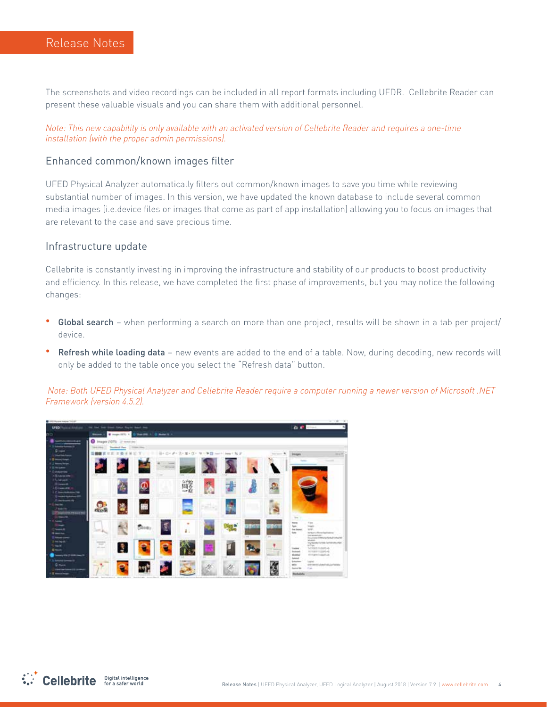The screenshots and video recordings can be included in all report formats including UFDR. Cellebrite Reader can present these valuable visuals and you can share them with additional personnel.

Note: This new capability is only available with an activated version of Cellebrite Reader and requires a one-time installation (with the proper admin permissions).

#### Enhanced common/known images filter

UFED Physical Analyzer automatically filters out common/known images to save you time while reviewing substantial number of images. In this version, we have updated the known database to include several common media images (i.e.device files or images that come as part of app installation) allowing you to focus on images that are relevant to the case and save precious time.

#### Infrastructure update

Cellebrite is constantly investing in improving the infrastructure and stability of our products to boost productivity and efficiency. In this release, we have completed the first phase of improvements, but you may notice the following :changes

- Global search when performing a search on more than one project, results will be shown in a tab per project/ device.
- Refresh while loading data new events are added to the end of a table. Now, during decoding, new records will only be added to the table once you select the "Refresh data" button.

*Note: Both UFED Physical Analyzer and Cellebrite Reader require a computer running a newer version of Microsoft :NET* **Framework** (version 4.5.2).



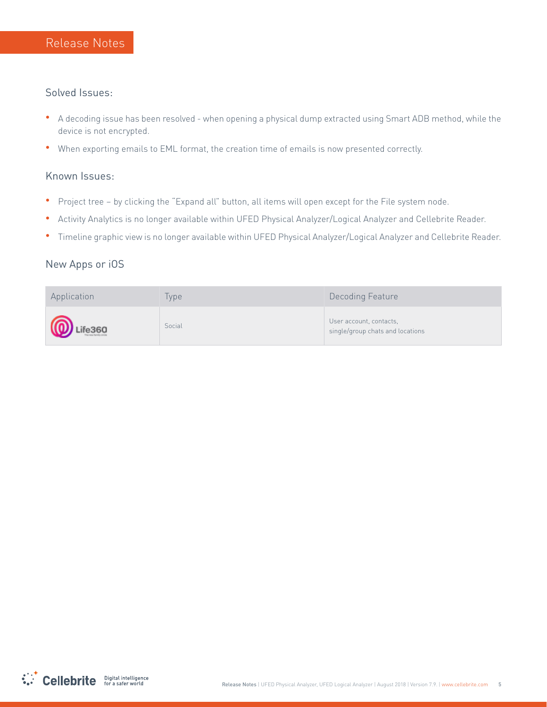#### Solved Issues:

- \* A decoding issue has been resolved when opening a physical dump extracted using Smart ADB method, while the device is not encrypted.
- When exporting emails to EML format, the creation time of emails is now presented correctly.

### Known Issues:

- Project tree by clicking the "Expand all" button, all items will open except for the File system node.
- . Activity Analytics is no longer available within UFED Physical Analyzer/Logical Analyzer and Cellebrite Reader.
- <sup>.</sup> Timeline graphic view is no longer available within UFED Physical Analyzer/Logical Analyzer and Cellebrite Reader.

### New Apps or iOS

| Application      | lype   | Decoding Feature                                            |
|------------------|--------|-------------------------------------------------------------|
| <b>D</b> Life360 | Social | User account, contacts,<br>single/group chats and locations |

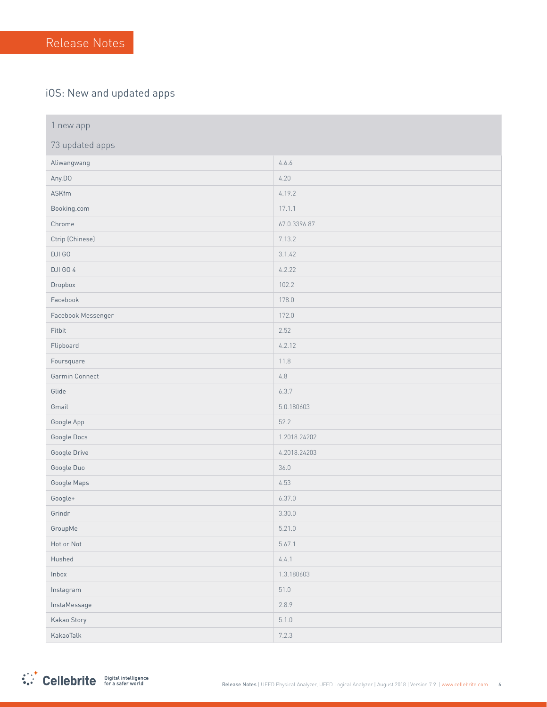### iOS: New and updated apps

| 1 new app          |              |
|--------------------|--------------|
| 73 updated apps    |              |
| Aliwangwang        | 4.6.6        |
| Any.DO             | 4.20         |
| ASKfm              | 4.19.2       |
| Booking.com        | 17.1.1       |
| Chrome             | 67.0.3396.87 |
| Ctrip (Chinese)    | 7.13.2       |
| DJI GO             | 3.1.42       |
| DJI GO 4           | 4.2.22       |
| Dropbox            | 102.2        |
| Facebook           | 178.0        |
| Facebook Messenger | 172.0        |
| Fitbit             | 2.52         |
| Flipboard          | 4.2.12       |
| Foursquare         | 11.8         |
| Garmin Connect     | $4.8\,$      |
| Glide              | 6.3.7        |
| Gmail              | 5.0.180603   |
| Google App         | 52.2         |
| Google Docs        | 1.2018.24202 |
| Google Drive       | 4.2018.24203 |
| Google Duo         | 36.0         |
| Google Maps        | 4.53         |
| Google+            | 6.37.0       |
| Grindr             | 3.30.0       |
| GroupMe            | 5.21.0       |
| Hot or Not         | 5.67.1       |
| Hushed             | 4.4.1        |
| Inbox              | 1.3.180603   |
| Instagram          | 51.0         |
| InstaMessage       | 2.8.9        |
| Kakao Story        | 5.1.0        |
| KakaoTalk          | 7.2.3        |

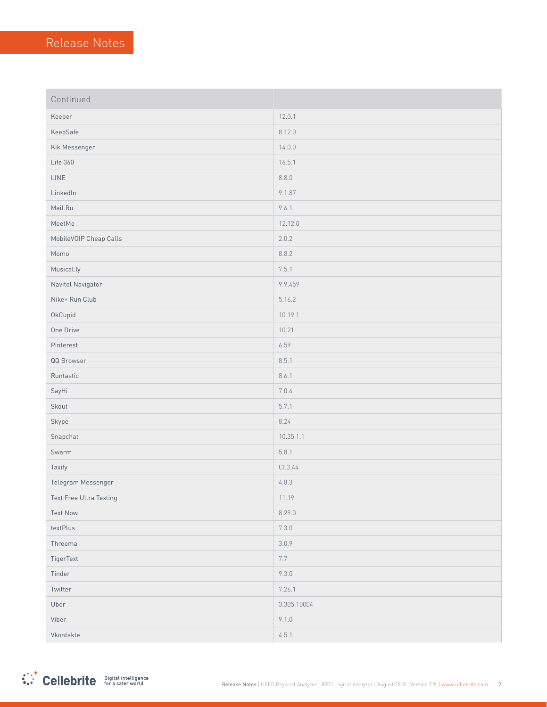| Continued               |             |
|-------------------------|-------------|
| Keeper                  | 12.0.1      |
| KeepSafe                | 8.12.0      |
| Kik Messenger           | 14.0.0      |
| Life 360                | 16.5.1      |
| LINE                    | 8.8.0       |
| LinkedIn                | 9.1.87      |
| Mail.Ru                 | 9.6.1       |
| MeetMe                  | 12.12.0     |
| MobileVOIP Cheap Calls  | 2.0.2       |
| Momo                    | 8.8.2       |
| Musical.ly              | 7.5.1       |
| Navitel Navigator       | 9.9.459     |
| Nike+ Run Club          | 5.16.2      |
| OkCupid                 | 10.19.1     |
| One Drive               | 10.21       |
| Pinterest               | 6.59        |
| QQ Browser              | 8.5.1       |
| Runtastic               | 8.6.1       |
| SayHi                   | 7.0.4       |
| Skout                   | 5.7.1       |
| Skype                   | 8.24        |
| Snapchat                | 10.35.1.1   |
| Swarm                   | 5.8.1       |
| Taxify                  | CI.3.44     |
| Telegram Messenger      | 4.8.3       |
| Text Free Ultra Texting | 11.19       |
| <b>Text Now</b>         | 8.29.0      |
| textPlus                | 7.3.0       |
| Threema                 | 3.0.9       |
| TigerText               | 7.7         |
| Tinder                  | 9.3.0       |
| Twitter                 | 7.26.1      |
| Uber                    | 3.305.10004 |
| Viber                   | 9.1.0       |
| Vkontakte               | 4.5.1       |

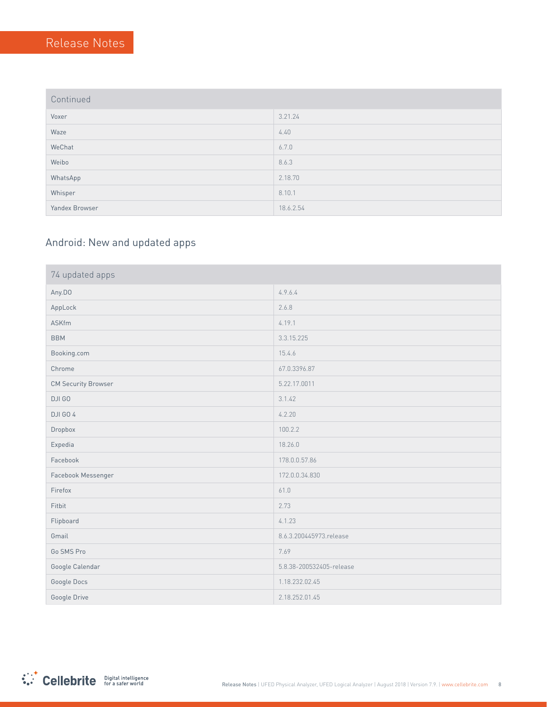| Continued |  |  |
|-----------|--|--|
|           |  |  |

| _ _ _          |           |
|----------------|-----------|
| Voxer          | 3.21.24   |
| Waze           | 4.40      |
| WeChat         | 6.7.0     |
| Weibo          | 8.6.3     |
| WhatsApp       | 2.18.70   |
| Whisper        | 8.10.1    |
| Yandex Browser | 18.6.2.54 |

## Android: New and updated apps

| 74 updated apps            |                          |
|----------------------------|--------------------------|
| Any.DO                     | 4.9.6.4                  |
| AppLock                    | 2.6.8                    |
| <b>ASKfm</b>               | 4.19.1                   |
| <b>BBM</b>                 | 3.3.15.225               |
| Booking.com                | 15.4.6                   |
| Chrome                     | 67.0.3396.87             |
| <b>CM Security Browser</b> | 5.22.17.0011             |
| DJI GO                     | 3.1.42                   |
| <b>DJI GO 4</b>            | 4.2.20                   |
| Dropbox                    | 100.2.2                  |
| Expedia                    | 18.26.0                  |
| Facebook                   | 178.0.0.57.86            |
| Facebook Messenger         | 172.0.0.34.830           |
| Firefox                    | 61.0                     |
| Fitbit                     | 2.73                     |
| Flipboard                  | 4.1.23                   |
| Gmail                      | 8.6.3.200445973.release  |
| Go SMS Pro                 | 7.69                     |
| Google Calendar            | 5.8.38-200532405-release |
| Google Docs                | 1.18.232.02.45           |
| Google Drive               | 2.18.252.01.45           |

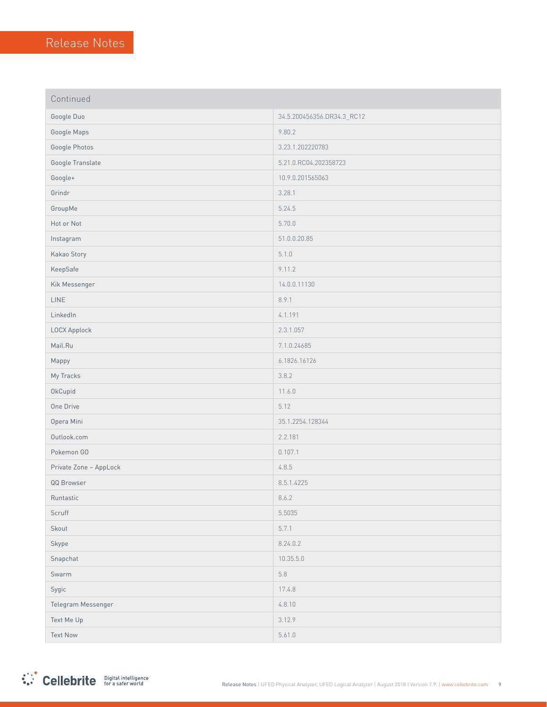| Continued              |                            |
|------------------------|----------------------------|
| Google Duo             | 34.5.200456356.DR34.3_RC12 |
| Google Maps            | 9.80.2                     |
| Google Photos          | 3.23.1.202220783           |
| Google Translate       | 5.21.0.RC04.202358723      |
| Google+                | 10.9.0.201565063           |
| Grindr                 | 3.28.1                     |
| GroupMe                | 5.24.5                     |
| Hot or Not             | 5.70.0                     |
| Instagram              | 51.0.0.20.85               |
| Kakao Story            | 5.1.0                      |
| KeepSafe               | 9.11.2                     |
| Kik Messenger          | 14.0.0.11130               |
| <b>LINE</b>            | 8.9.1                      |
| LinkedIn               | 4.1.191                    |
| LOCX Applock           | 2.3.1.057                  |
| Mail.Ru                | 7.1.0.24685                |
| Mappy                  | 6.1826.16126               |
| My Tracks              | 3.8.2                      |
| OkCupid                | 11.6.0                     |
| One Drive              | 5.12                       |
| Opera Mini             | 35.1.2254.128344           |
| Outlook.com            | 2.2.181                    |
| Pokemon GO             | 0.107.1                    |
| Private Zone - AppLock | 4.8.5                      |
| QQ Browser             | 8.5.1.4225                 |
| Runtastic              | 8.6.2                      |
| Scruff                 | 5.5035                     |
| Skout                  | 5.7.1                      |
| Skype                  | 8.24.0.2                   |
| Snapchat               | 10.35.5.0                  |
| Swarm                  | $5.8\,$                    |
| Sygic                  | 17.4.8                     |
| Telegram Messenger     | 4.8.10                     |
| Text Me Up             | 3.12.9                     |
| <b>Text Now</b>        | 5.61.0                     |